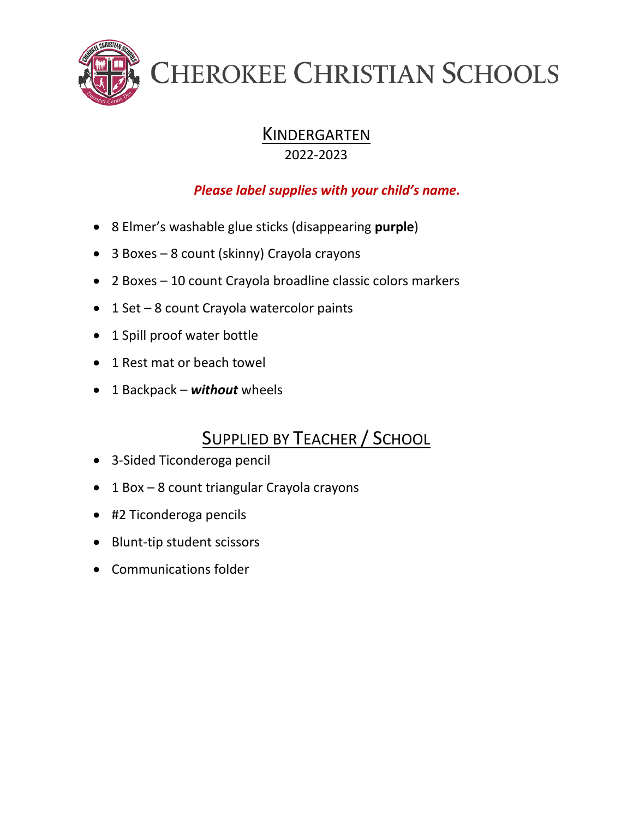

### **KINDERGARTEN**

2022-2023

#### *Please label supplies with your child's name.*

- 8 Elmer's washable glue sticks (disappearing **purple**)
- 3 Boxes 8 count (skinny) Crayola crayons
- 2 Boxes 10 count Crayola broadline classic colors markers
- 1 Set 8 count Crayola watercolor paints
- 1 Spill proof water bottle
- 1 Rest mat or beach towel
- 1 Backpack *without* wheels

### **SUPPLIED BY TEACHER / SCHOOL**

- 3-Sided Ticonderoga pencil
- 1 Box 8 count triangular Crayola crayons
- #2 Ticonderoga pencils
- Blunt-tip student scissors
- Communications folder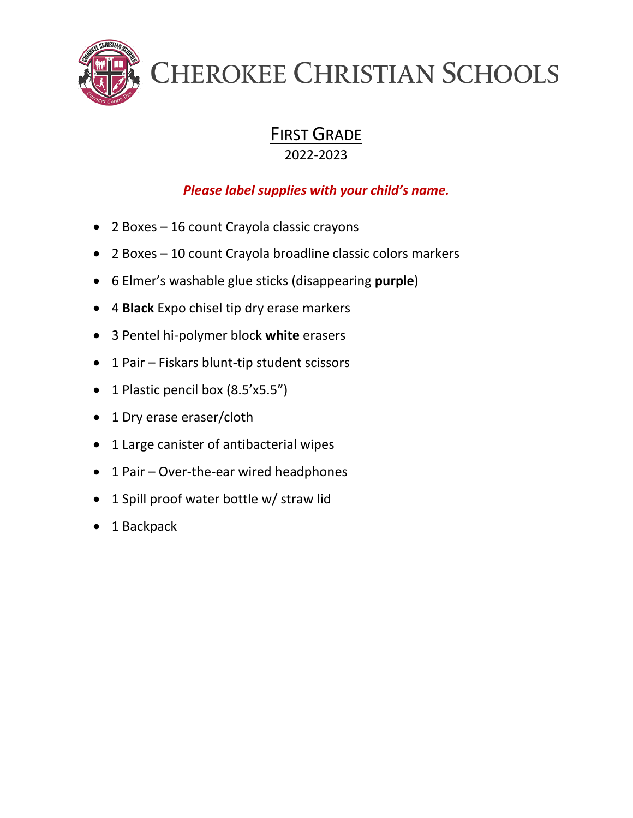

### FIRST GRADE

2022-2023

- 2 Boxes 16 count Crayola classic crayons
- 2 Boxes 10 count Crayola broadline classic colors markers
- 6 Elmer's washable glue sticks (disappearing **purple**)
- 4 **Black** Expo chisel tip dry erase markers
- 3 Pentel hi-polymer block **white** erasers
- 1 Pair Fiskars blunt-tip student scissors
- 1 Plastic pencil box (8.5'x5.5")
- 1 Dry erase eraser/cloth
- 1 Large canister of antibacterial wipes
- 1 Pair Over-the-ear wired headphones
- 1 Spill proof water bottle w/ straw lid
- 1 Backpack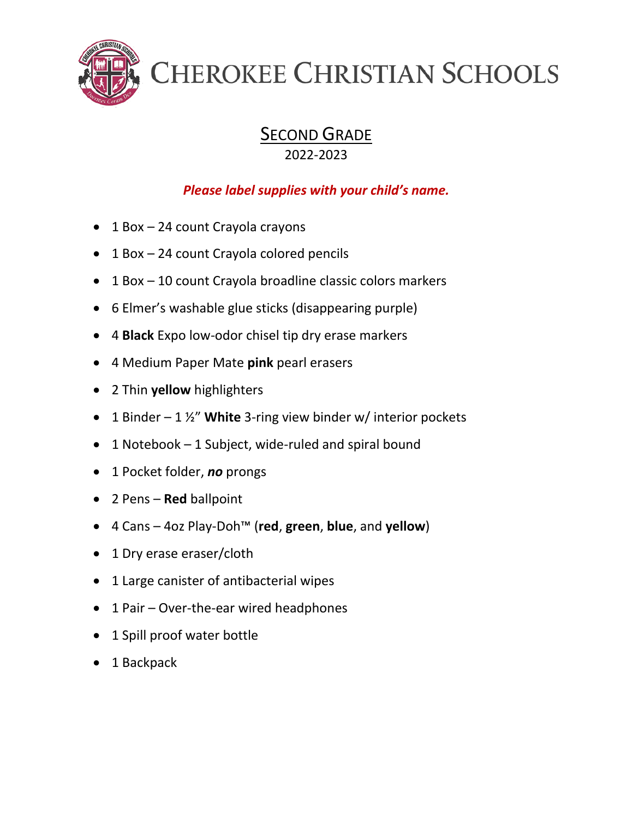

### SECOND GRADE

2022-2023

- 1 Box 24 count Crayola crayons
- 1 Box 24 count Crayola colored pencils
- 1 Box 10 count Crayola broadline classic colors markers
- 6 Elmer's washable glue sticks (disappearing purple)
- 4 **Black** Expo low-odor chisel tip dry erase markers
- 4 Medium Paper Mate **pink** pearl erasers
- 2 Thin **yellow** highlighters
- 1 Binder 1 ½" **White** 3-ring view binder w/ interior pockets
- 1 Notebook 1 Subject, wide-ruled and spiral bound
- 1 Pocket folder, *no* prongs
- 2 Pens **Red** ballpoint
- 4 Cans 4oz Play-Doh™ (**red**, **green**, **blue**, and **yellow**)
- 1 Dry erase eraser/cloth
- 1 Large canister of antibacterial wipes
- 1 Pair Over-the-ear wired headphones
- 1 Spill proof water bottle
- 1 Backpack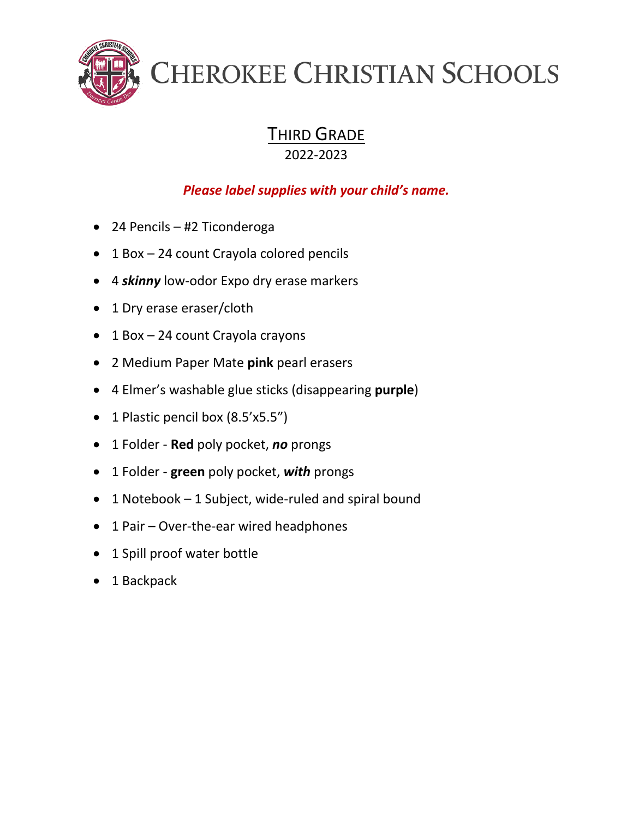

THIRD GRADE

2022-2023

- 24 Pencils #2 Ticonderoga
- 1 Box 24 count Crayola colored pencils
- 4 *skinny* low-odor Expo dry erase markers
- 1 Dry erase eraser/cloth
- 1 Box 24 count Crayola crayons
- 2 Medium Paper Mate **pink** pearl erasers
- 4 Elmer's washable glue sticks (disappearing **purple**)
- 1 Plastic pencil box (8.5'x5.5")
- 1 Folder **Red** poly pocket, *no* prongs
- 1 Folder **green** poly pocket, *with* prongs
- 1 Notebook 1 Subject, wide-ruled and spiral bound
- 1 Pair Over-the-ear wired headphones
- 1 Spill proof water bottle
- 1 Backpack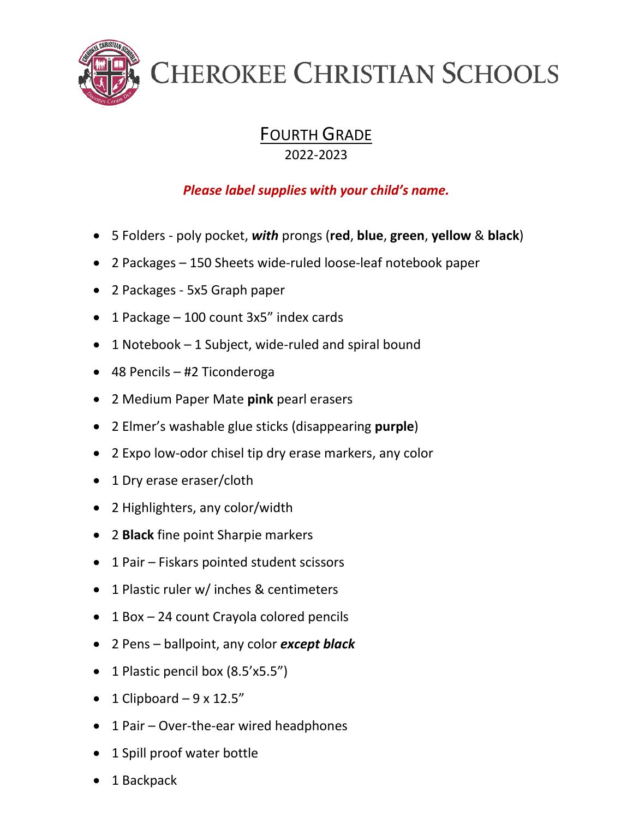

### **FOURTH GRADE**

#### 2022-2023

- 5 Folders poly pocket, *with* prongs (**red**, **blue**, **green**, **yellow** & **black**)
- 2 Packages 150 Sheets wide-ruled loose-leaf notebook paper
- 2 Packages 5x5 Graph paper
- 1 Package 100 count 3x5" index cards
- 1 Notebook 1 Subject, wide-ruled and spiral bound
- 48 Pencils #2 Ticonderoga
- 2 Medium Paper Mate **pink** pearl erasers
- 2 Elmer's washable glue sticks (disappearing **purple**)
- 2 Expo low-odor chisel tip dry erase markers, any color
- 1 Dry erase eraser/cloth
- 2 Highlighters, any color/width
- 2 **Black** fine point Sharpie markers
- 1 Pair Fiskars pointed student scissors
- 1 Plastic ruler w/ inches & centimeters
- 1 Box 24 count Crayola colored pencils
- 2 Pens ballpoint, any color *except black*
- 1 Plastic pencil box (8.5'x5.5")
- 1 Clipboard  $-9 \times 12.5$ "
- 1 Pair Over-the-ear wired headphones
- 1 Spill proof water bottle
- 1 Backpack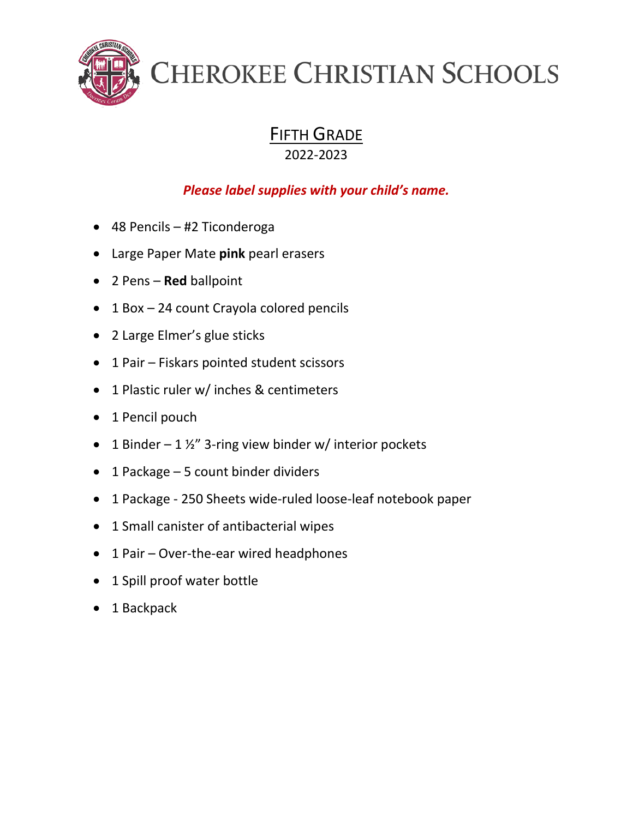

#### FIFTH GRADE 2022-2023

- 48 Pencils #2 Ticonderoga
- Large Paper Mate **pink** pearl erasers
- 2 Pens **Red** ballpoint
- 1 Box 24 count Crayola colored pencils
- 2 Large Elmer's glue sticks
- 1 Pair Fiskars pointed student scissors
- 1 Plastic ruler w/ inches & centimeters
- 1 Pencil pouch
- 1 Binder 1  $\frac{1}{2}$ " 3-ring view binder w/ interior pockets
- 1 Package 5 count binder dividers
- 1 Package 250 Sheets wide-ruled loose-leaf notebook paper
- 1 Small canister of antibacterial wipes
- 1 Pair Over-the-ear wired headphones
- 1 Spill proof water bottle
- 1 Backpack